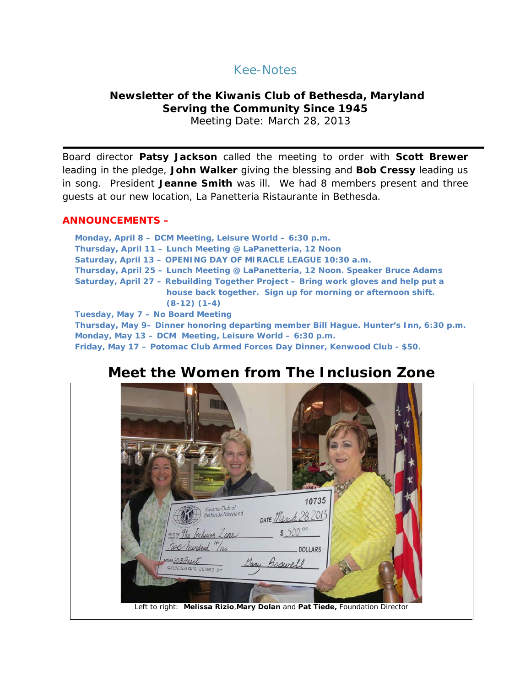## Kee-Notes

## **Newsletter of the Kiwanis Club of Bethesda, Maryland Serving the Community Since 1945**

Meeting Date: March 28, 2013

Board director **Patsy Jackson** called the meeting to order with **Scott Brewer** leading in the pledge, **John Walker** giving the blessing and **Bob Cressy** leading us in song. President **Jeanne Smith** was ill. We had 8 members present and three guests at our new location, La Panetteria Ristaurante in Bethesda.

#### **ANNOUNCEMENTS –**

**Monday, April 8 – DCM Meeting, Leisure World – 6:30 p.m. Thursday, April 11 – Lunch Meeting @ LaPanetteria, 12 Noon Saturday, April 13 – OPENING DAY OF MIRACLE LEAGUE 10:30 a.m. Thursday, April 25 – Lunch Meeting @ LaPanetteria, 12 Noon. Speaker Bruce Adams Saturday, April 27 – Rebuilding Together Project – Bring work gloves and help put a house back together. Sign up for morning or afternoon shift. (8-12) (1-4) Tuesday, May 7 – No Board Meeting Thursday, May 9– Dinner honoring departing member Bill Hague. Hunter's Inn, 6:30 p.m. Monday, May 13 – DCM Meeting, Leisure World – 6:30 p.m. Friday, May 17 – Potomac Club Armed Forces Day Dinner, Kenwood Club - \$50.**

# **Meet the Women from The Inclusion Zone**

| <b>ROOM</b>                                                                 |
|-----------------------------------------------------------------------------|
| 10735<br>Kiwanis Club of<br>Bethesda Maryland                               |
| DATE March 28, 2013                                                         |
| $$500^{\circ}$<br>where The Inclusion Zane<br>we hundred "100               |
| DOLLARS<br>MEMO 2013 Grant                                                  |
| Dany Boswell<br>41230001234456 007890 0+                                    |
|                                                                             |
| Left to right: Melissa Rizio, Mary Dolan and Pat Tiede, Foundation Director |